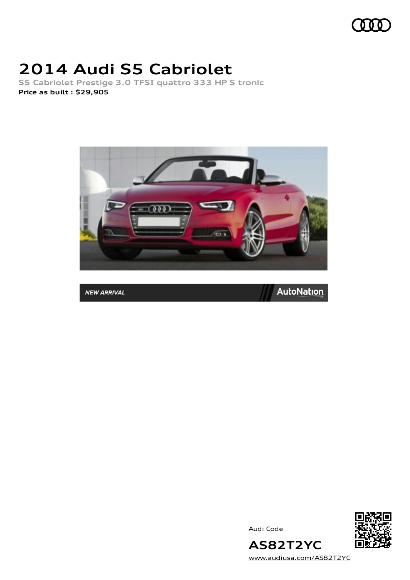

# **2014 Audi S5 Cabriolet**

**S5 Cabriolet Prestige 3.0 TFSI quattro 333 HP S tronic Price as built [:](#page-10-0) \$29,905**



**NEW ARRIVAL** 



Audi Code



[www.audiusa.com/AS82T2YC](https://www.audiusa.com/AS82T2YC)

**AS82T2YC**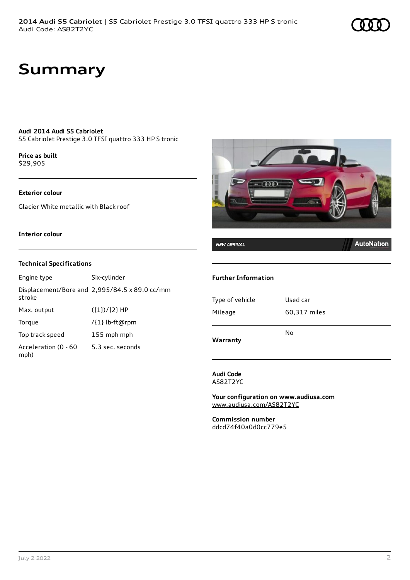# **Summary**

### **Audi 2014 Audi S5 Cabriolet**

S5 Cabriolet Prestige 3.0 TFSI quattro 333 HP S tronic

**Price as buil[t](#page-10-0)** \$29,905

#### **Exterior colour**

Glacier White metallic with Black roof

### **Interior colour**

### **Technical Specifications**

| Engine type                  | Six-cylinder                                  |
|------------------------------|-----------------------------------------------|
| stroke                       | Displacement/Bore and 2,995/84.5 x 89.0 cc/mm |
| Max. output                  | $({1})/{2}$ HP                                |
| Torque                       | /{1} lb-ft@rpm                                |
| Top track speed              | 155 mph mph                                   |
| Acceleration (0 - 60<br>mph) | 5.3 sec. seconds                              |



## **NEW ARRIVAL**

## **AutoNation**

#### **Further Information**

| Warranty        |              |
|-----------------|--------------|
|                 | No           |
| Mileage         | 60,317 miles |
| Type of vehicle | Used car     |
|                 |              |

**Audi Code** AS82T2YC

**Your configuration on www.audiusa.com** [www.audiusa.com/AS82T2YC](https://www.audiusa.com/AS82T2YC)

**Commission number** ddcd74f40a0d0cc779e5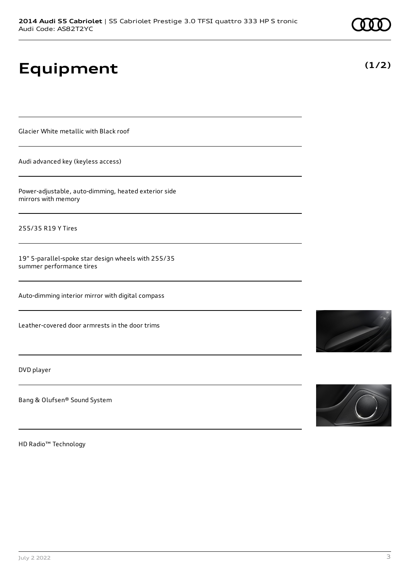# **Equipment**

Glacier White metallic with Black roof

Audi advanced key (keyless access)

Power-adjustable, auto-dimming, heated exterior side mirrors with memory

255/35 R19 Y Tires

19" 5-parallel-spoke star design wheels with 255/35 summer performance tires

Auto-dimming interior mirror with digital compass

Leather-covered door armrests in the door trims

DVD player

Bang & Olufsen® Sound System

HD Radio™ Technology





**(1/2)**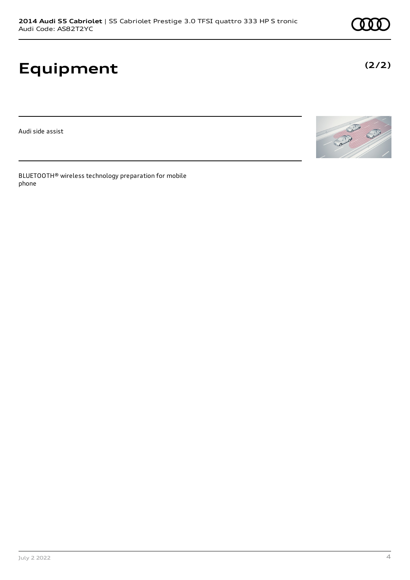# **Equipment**

Audi side assist

BLUETOOTH® wireless technology preparation for mobile phone





**(2/2)**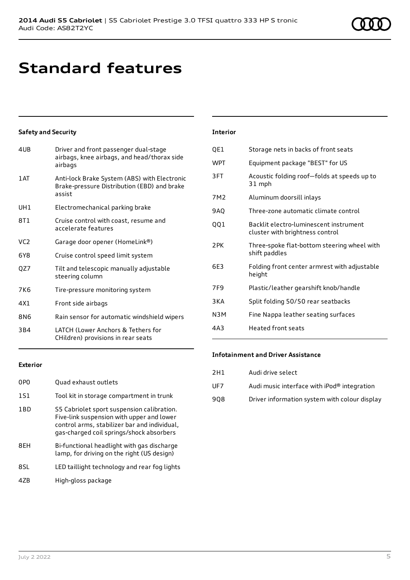# **Standard features**

# **Safety and Security**

| 4UB             | Driver and front passenger dual-stage<br>airbags, knee airbags, and head/thorax side<br>airbags       |
|-----------------|-------------------------------------------------------------------------------------------------------|
| 1 AT            | Anti-lock Brake System (ABS) with Electronic<br>Brake-pressure Distribution (EBD) and brake<br>assist |
| UH1             | Electromechanical parking brake                                                                       |
| 8T1             | Cruise control with coast, resume and<br>accelerate features                                          |
| VC <sub>2</sub> | Garage door opener (HomeLink®)                                                                        |
| 6Y8             | Cruise control speed limit system                                                                     |
| QZ7             | Tilt and telescopic manually adjustable<br>steering column                                            |
| 7K6             | Tire-pressure monitoring system                                                                       |
| 4X1             | Front side airbags                                                                                    |
| 8N6             | Rain sensor for automatic windshield wipers                                                           |
| 3B4             | LATCH (Lower Anchors & Tethers for<br>CHildren) provisions in rear seats                              |

| <b>Interior</b> |                                                                           |
|-----------------|---------------------------------------------------------------------------|
| QE1             | Storage nets in backs of front seats                                      |
| <b>WPT</b>      | Equipment package "BEST" for US                                           |
| 3FT             | Acoustic folding roof-folds at speeds up to<br>31 mph                     |
| 7M <sub>2</sub> | Aluminum doorsill inlays                                                  |
| 9AQ             | Three-zone automatic climate control                                      |
| 001             | Backlit electro-luminescent instrument<br>cluster with brightness control |
| 2PK             | Three-spoke flat-bottom steering wheel with<br>shift paddles              |
| 6E3             | Folding front center armrest with adjustable<br>height                    |
| 7F9             | Plastic/leather gearshift knob/handle                                     |
| 3 K A           | Split folding 50/50 rear seatbacks                                        |
| N3M             | Fine Nappa leather seating surfaces                                       |
| 4A3             | <b>Heated front seats</b>                                                 |

## **Exterior**

| 0PO | Quad exhaust outlets                                                                                                                                                                |
|-----|-------------------------------------------------------------------------------------------------------------------------------------------------------------------------------------|
| 151 | Tool kit in storage compartment in trunk                                                                                                                                            |
| 1BD | S5 Cabriolet sport suspension calibration.<br>Five-link suspension with upper and lower<br>control arms, stabilizer bar and individual,<br>gas-charged coil springs/shock absorbers |
| 8FH | Bi-functional headlight with gas discharge<br>lamp, for driving on the right (US design)                                                                                            |
| 8SL | LED taillight technology and rear fog lights                                                                                                                                        |
| 47R | High-gloss package                                                                                                                                                                  |

## **Infotainment and Driver Assistance**

| 2H1 | Audi drive select                             |
|-----|-----------------------------------------------|
| UF7 | Audi music interface with iPod® integration   |
| 908 | Driver information system with colour display |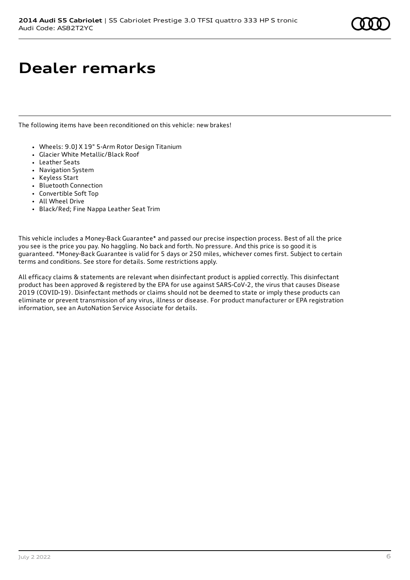# **Dealer remarks**

The following items have been reconditioned on this vehicle: new brakes!

- Wheels: 9.0J X 19" 5-Arm Rotor Design Titanium
- Glacier White Metallic/Black Roof
- Leather Seats
- Navigation System
- Keyless Start
- Bluetooth Connection
- Convertible Soft Top
- All Wheel Drive
- Black/Red; Fine Nappa Leather Seat Trim

This vehicle includes a Money-Back Guarantee\* and passed our precise inspection process. Best of all the price you see is the price you pay. No haggling. No back and forth. No pressure. And this price is so good it is guaranteed. \*Money-Back Guarantee is valid for 5 days or 250 miles, whichever comes first. Subject to certain terms and conditions. See store for details. Some restrictions apply.

All efficacy claims & statements are relevant when disinfectant product is applied correctly. This disinfectant product has been approved & registered by the EPA for use against SARS-CoV-2, the virus that causes Disease 2019 (COVID-19). Disinfectant methods or claims should not be deemed to state or imply these products can eliminate or prevent transmission of any virus, illness or disease. For product manufacturer or EPA registration information, see an AutoNation Service Associate for details.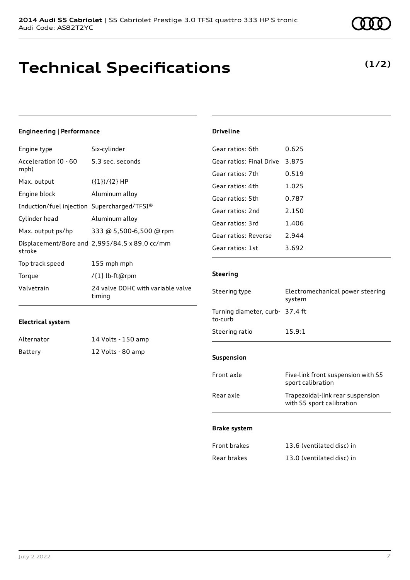# **Technical Specifications**

**(1/2)**

| <b>Engineering   Performance</b>            |                                               | <b>Driveline</b>                           |                                                               |
|---------------------------------------------|-----------------------------------------------|--------------------------------------------|---------------------------------------------------------------|
| Engine type                                 | Six-cylinder                                  | Gear ratios: 6th                           | 0.625                                                         |
| Acceleration (0 - 60                        | 5.3 sec. seconds                              | Gear ratios: Final Drive                   | 3.875                                                         |
| mph)<br>Max. output                         | $({1})/{2}$ HP                                | Gear ratios: 7th                           | 0.519                                                         |
| Engine block                                | Aluminum alloy                                | Gear ratios: 4th                           | 1.025                                                         |
| Induction/fuel injection Supercharged/TFSI® |                                               | Gear ratios: 5th                           | 0.787                                                         |
| Cylinder head                               | Aluminum alloy                                | Gear ratios: 2nd<br>Gear ratios: 3rd       | 2.150<br>1.406                                                |
| Max. output ps/hp                           | 333 @ 5,500-6,500 @ rpm                       | Gear ratios: Reverse                       | 2.944                                                         |
| stroke                                      | Displacement/Bore and 2,995/84.5 x 89.0 cc/mm | Gear ratios: 1st                           | 3.692                                                         |
| Top track speed                             | 155 mph mph                                   |                                            |                                                               |
| Torque                                      | /{1} lb-ft@rpm                                | <b>Steering</b>                            |                                                               |
| Valvetrain                                  | 24 valve DOHC with variable valve<br>timing   | Steering type                              | Electromechanical power steering<br>system                    |
| <b>Electrical system</b>                    |                                               | Turning diameter, curb- 37.4 ft<br>to-curb |                                                               |
| Alternator                                  | 14 Volts - 150 amp                            | Steering ratio                             | 15.9:1                                                        |
| <b>Battery</b>                              | 12 Volts - 80 amp                             | Suspension                                 |                                                               |
|                                             |                                               | Front axle                                 | Five-link front suspension with S5<br>sport calibration       |
|                                             |                                               | Rear axle                                  | Trapezoidal-link rear suspension<br>with S5 sport calibration |
|                                             |                                               | <b>Brake system</b>                        |                                                               |
|                                             |                                               | Front brakes                               | 13.6 (ventilated disc) in                                     |
|                                             |                                               | Rear brakes                                | 13.0 (ventilated disc) in                                     |
|                                             |                                               |                                            |                                                               |
|                                             |                                               |                                            |                                                               |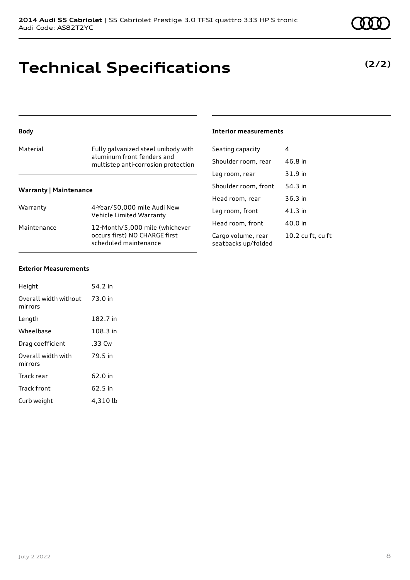# **Technical Specifications**

## **Body**

| Material | Fully galvanized steel unibody with<br>aluminum front fenders and<br>multistep anti-corrosion protection |
|----------|----------------------------------------------------------------------------------------------------------|
|          |                                                                                                          |

## **Warranty | Maintenance**

| Warranty    | 4-Year/50,000 mile Audi New<br>Vehicle Limited Warranty                                  |
|-------------|------------------------------------------------------------------------------------------|
| Maintenance | 12-Month/5,000 mile (whichever<br>occurs first) NO CHARGE first<br>scheduled maintenance |

## **Interior measurements**

| Seating capacity                          | 4                 |
|-------------------------------------------|-------------------|
| Shoulder room, rear                       | 46.8 in           |
| Leg room, rear                            | 31.9 in           |
| Shoulder room, front                      | 54.3 in           |
| Head room, rear                           | $36.3$ in         |
| Leg room, front                           | 41.3 in           |
| Head room, front                          | 40.0 in           |
| Cargo volume, rear<br>seatbacks up/folded | 10.2 cu ft, cu ft |
|                                           |                   |

### **Exterior Measurements**

| Height                           | 54.2 in  |
|----------------------------------|----------|
| Overall width without<br>mirrors | 73.0 in  |
| Length                           | 182.7 in |
| Wheelbase                        | 108.3 in |
| Drag coefficient                 | .33 Cw   |
| Overall width with<br>mirrors    | 79.5 in  |
| Track rear                       | 62.0 in  |
| Track front                      | 62.5 in  |
| Curb weight                      | 4,310 lb |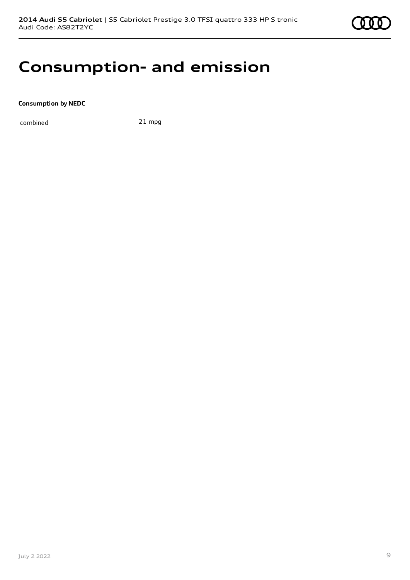

# **Consumption- and emission**

**Consumption by NEDC**

combined 21 mpg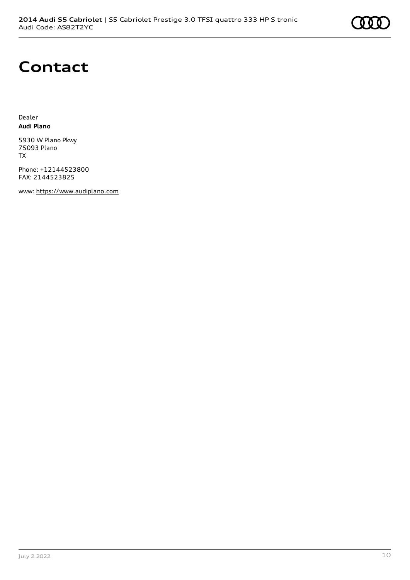

# **Contact**

Dealer **Audi Plano**

5930 W Plano Pkwy 75093 Plano TX

Phone: +12144523800 FAX: 2144523825

www: [https://www.audiplano.com](https://www.audiplano.com/)